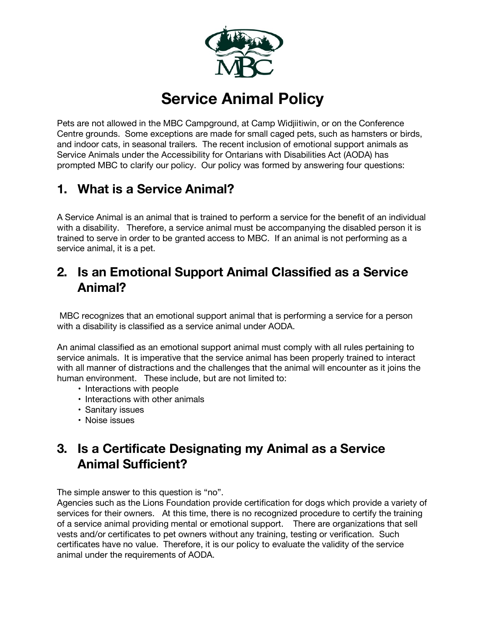

# **Service Animal Policy**

Pets are not allowed in the MBC Campground, at Camp Widjiitiwin, or on the Conference Centre grounds. Some exceptions are made for small caged pets, such as hamsters or birds, and indoor cats, in seasonal trailers. The recent inclusion of emotional support animals as Service Animals under the Accessibility for Ontarians with Disabilities Act (AODA) has prompted MBC to clarify our policy. Our policy was formed by answering four questions:

## **1. What is a Service Animal?**

A Service Animal is an animal that is trained to perform a service for the benefit of an individual with a disability. Therefore, a service animal must be accompanying the disabled person it is trained to serve in order to be granted access to MBC. If an animal is not performing as a service animal, it is a pet.

## **2. Is an Emotional Support Animal Classified as a Service Animal?**

MBC recognizes that an emotional support animal that is performing a service for a person with a disability is classified as a service animal under AODA.

An animal classified as an emotional support animal must comply with all rules pertaining to service animals. It is imperative that the service animal has been properly trained to interact with all manner of distractions and the challenges that the animal will encounter as it joins the human environment. These include, but are not limited to:

- Interactions with people
- Interactions with other animals
- Sanitary issues
- Noise issues

## **3. Is a Certificate Designating my Animal as a Service Animal Sufficient?**

The simple answer to this question is "no".

Agencies such as the Lions Foundation provide certification for dogs which provide a variety of services for their owners. At this time, there is no recognized procedure to certify the training of a service animal providing mental or emotional support. There are organizations that sell vests and/or certificates to pet owners without any training, testing or verification. Such certificates have no value. Therefore, it is our policy to evaluate the validity of the service animal under the requirements of AODA.